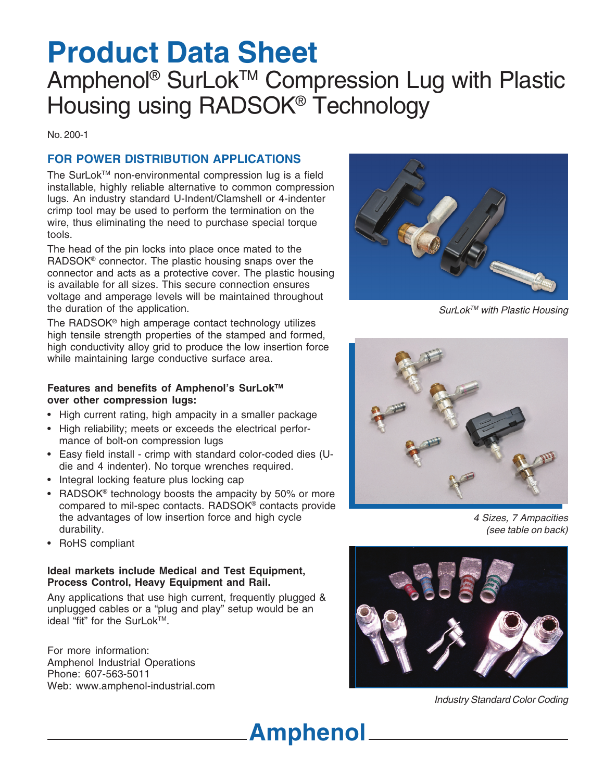# **Product Data Sheet**

## Amphenol<sup>®</sup> SurLok™ Compression Lug with Plastic Housing using RADSOK® Technology

No. 200-1

### **FOR POWER DISTRIBUTION APPLICATIONS**

The SurLok™ non-environmental compression lug is a field installable, highly reliable alternative to common compression lugs. An industry standard U-Indent/Clamshell or 4-indenter crimp tool may be used to perform the termination on the wire, thus eliminating the need to purchase special torque tools.

The head of the pin locks into place once mated to the RADSOK® connector. The plastic housing snaps over the connector and acts as a protective cover. The plastic housing is available for all sizes. This secure connection ensures voltage and amperage levels will be maintained throughout the duration of the application.

The RADSOK® high amperage contact technology utilizes high tensile strength properties of the stamped and formed, high conductivity alloy grid to produce the low insertion force while maintaining large conductive surface area.

#### **Features and benefits of Amphenol's SurLokTM over other compression lugs:**

- High current rating, high ampacity in a smaller package
- High reliability; meets or exceeds the electrical performance of bolt-on compression lugs
- Easy field install crimp with standard color-coded dies (Udie and 4 indenter). No torque wrenches required.
- Integral locking feature plus locking cap
- RADSOK<sup>®</sup> technology boosts the ampacity by 50% or more compared to mil-spec contacts. RADSOK® contacts provide the advantages of low insertion force and high cycle durability.
- RoHS compliant

#### **Ideal markets include Medical and Test Equipment, Process Control, Heavy Equipment and Rail.**

Any applications that use high current, frequently plugged & unplugged cables or a "plug and play" setup would be an ideal "fit" for the SurLok™.

For more information: Amphenol Industrial Operations Phone: 607-563-5011 Web: www.amphenol-industrial.com



SurLok™ with Plastic Housing



4 Sizes, 7 Ampacities (see table on back)



Industry Standard Color Coding